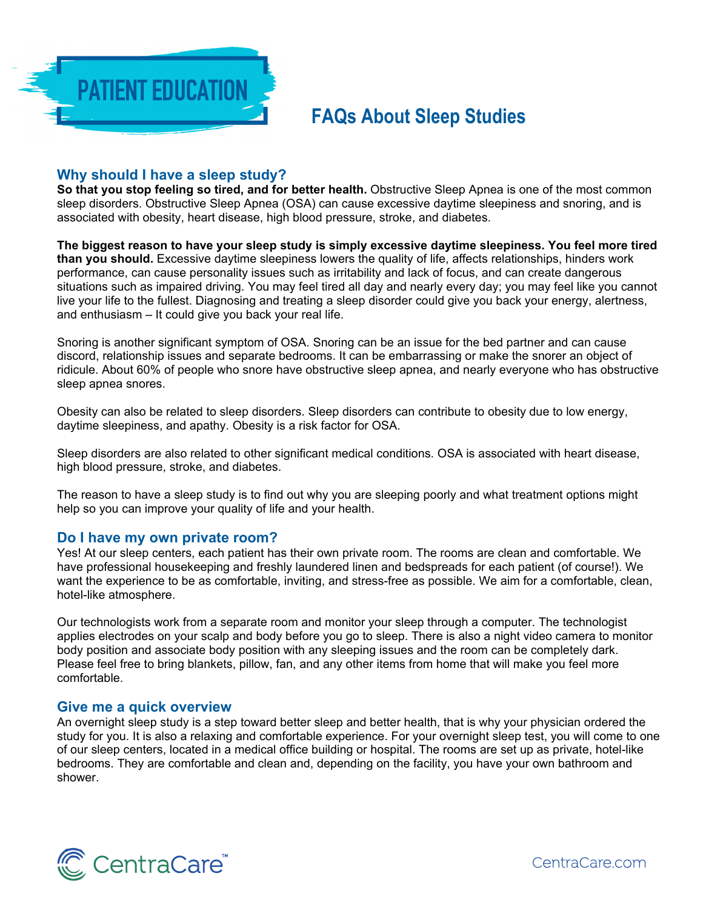

# **FAQs About Sleep Studies**

# **Why should I have a sleep study?**

**So that you stop feeling so tired, and for better health.** Obstructive Sleep Apnea is one of the most common sleep disorders. Obstructive Sleep Apnea (OSA) can cause excessive daytime sleepiness and snoring, and is associated with obesity, heart disease, high blood pressure, stroke, and diabetes.

**The biggest reason to have your sleep study is simply excessive daytime sleepiness. You feel more tired than you should.** Excessive daytime sleepiness lowers the quality of life, affects relationships, hinders work performance, can cause personality issues such as irritability and lack of focus, and can create dangerous situations such as impaired driving. You may feel tired all day and nearly every day; you may feel like you cannot live your life to the fullest. Diagnosing and treating a sleep disorder could give you back your energy, alertness, and enthusiasm – It could give you back your real life.

Snoring is another significant symptom of OSA. Snoring can be an issue for the bed partner and can cause discord, relationship issues and separate bedrooms. It can be embarrassing or make the snorer an object of ridicule. About 60% of people who snore have obstructive sleep apnea, and nearly everyone who has obstructive sleep apnea snores.

Obesity can also be related to sleep disorders. Sleep disorders can contribute to obesity due to low energy, daytime sleepiness, and apathy. Obesity is a risk factor for OSA.

Sleep disorders are also related to other significant medical conditions. OSA is associated with heart disease, high blood pressure, stroke, and diabetes.

The reason to have a sleep study is to find out why you are sleeping poorly and what treatment options might help so you can improve your quality of life and your health.

#### **Do I have my own private room?**

Yes! At our sleep centers, each patient has their own private room. The rooms are clean and comfortable. We have professional housekeeping and freshly laundered linen and bedspreads for each patient (of course!). We want the experience to be as comfortable, inviting, and stress-free as possible. We aim for a comfortable, clean, hotel-like atmosphere.

Our technologists work from a separate room and monitor your sleep through a computer. The technologist applies electrodes on your scalp and body before you go to sleep. There is also a night video camera to monitor body position and associate body position with any sleeping issues and the room can be completely dark. Please feel free to bring blankets, pillow, fan, and any other items from home that will make you feel more comfortable.

#### **Give me a quick overview**

An overnight sleep study is a step toward better sleep and better health, that is why your physician ordered the study for you. It is also a relaxing and comfortable experience. For your overnight sleep test, you will come to one of our sleep centers, located in a medical office building or hospital. The rooms are set up as private, hotel-like bedrooms. They are comfortable and clean and, depending on the facility, you have your own bathroom and shower.

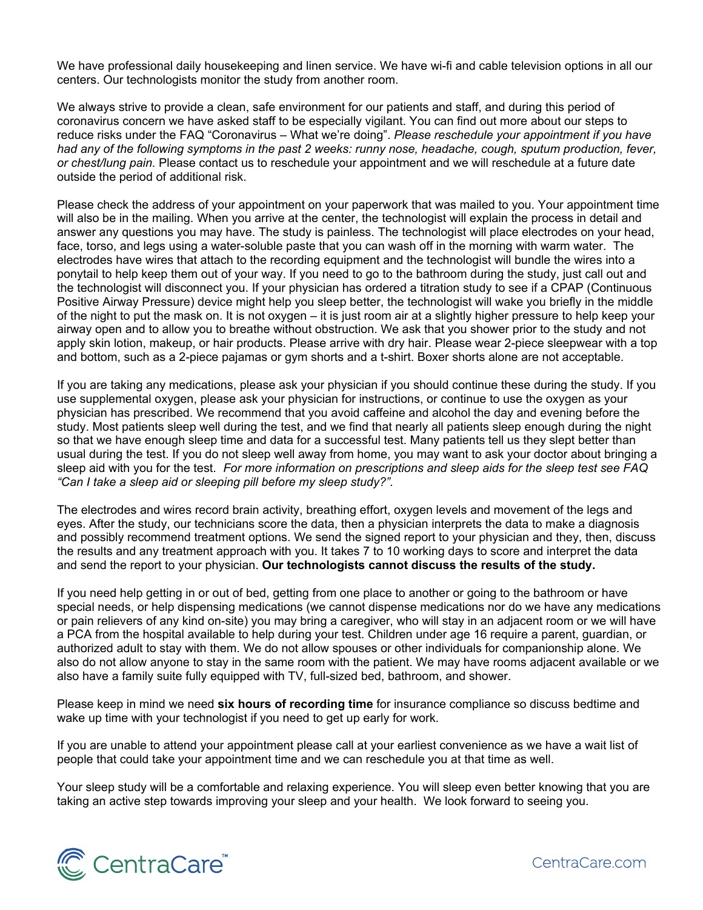We have professional daily housekeeping and linen service. We have wi-fi and cable television options in all our centers. Our technologists monitor the study from another room.

We always strive to provide a clean, safe environment for our patients and staff, and during this period of coronavirus concern we have asked staff to be especially vigilant. You can find out more about our steps to reduce risks under the FAQ "Coronavirus – What we're doing". *Please reschedule your appointment if you have had any of the following symptoms in the past 2 weeks: runny nose, headache, cough, sputum production, fever, or chest/lung pain.* Please contact us to reschedule your appointment and we will reschedule at a future date outside the period of additional risk.

Please check the address of your appointment on your paperwork that was mailed to you. Your appointment time will also be in the mailing. When you arrive at the center, the technologist will explain the process in detail and answer any questions you may have. The study is painless. The technologist will place electrodes on your head, face, torso, and legs using a water-soluble paste that you can wash off in the morning with warm water. The electrodes have wires that attach to the recording equipment and the technologist will bundle the wires into a ponytail to help keep them out of your way. If you need to go to the bathroom during the study, just call out and the technologist will disconnect you. If your physician has ordered a titration study to see if a CPAP (Continuous Positive Airway Pressure) device might help you sleep better, the technologist will wake you briefly in the middle of the night to put the mask on. It is not oxygen – it is just room air at a slightly higher pressure to help keep your airway open and to allow you to breathe without obstruction. We ask that you shower prior to the study and not apply skin lotion, makeup, or hair products. Please arrive with dry hair. Please wear 2-piece sleepwear with a top and bottom, such as a 2-piece pajamas or gym shorts and a t-shirt. Boxer shorts alone are not acceptable.

If you are taking any medications, please ask your physician if you should continue these during the study. If you use supplemental oxygen, please ask your physician for instructions, or continue to use the oxygen as your physician has prescribed. We recommend that you avoid caffeine and alcohol the day and evening before the study. Most patients sleep well during the test, and we find that nearly all patients sleep enough during the night so that we have enough sleep time and data for a successful test. Many patients tell us they slept better than usual during the test. If you do not sleep well away from home, you may want to ask your doctor about bringing a sleep aid with you for the test. *For more information on prescriptions and sleep aids for the sleep test see FAQ "Can I take a sleep aid or sleeping pill before my sleep study?".* 

The electrodes and wires record brain activity, breathing effort, oxygen levels and movement of the legs and eyes. After the study, our technicians score the data, then a physician interprets the data to make a diagnosis and possibly recommend treatment options. We send the signed report to your physician and they, then, discuss the results and any treatment approach with you. It takes 7 to 10 working days to score and interpret the data and send the report to your physician. **Our technologists cannot discuss the results of the study.** 

If you need help getting in or out of bed, getting from one place to another or going to the bathroom or have special needs, or help dispensing medications (we cannot dispense medications nor do we have any medications or pain relievers of any kind on-site) you may bring a caregiver, who will stay in an adjacent room or we will have a PCA from the hospital available to help during your test. Children under age 16 require a parent, guardian, or authorized adult to stay with them. We do not allow spouses or other individuals for companionship alone. We also do not allow anyone to stay in the same room with the patient. We may have rooms adjacent available or we also have a family suite fully equipped with TV, full-sized bed, bathroom, and shower.

Please keep in mind we need **six hours of recording time** for insurance compliance so discuss bedtime and wake up time with your technologist if you need to get up early for work.

If you are unable to attend your appointment please call at your earliest convenience as we have a wait list of people that could take your appointment time and we can reschedule you at that time as well.

Your sleep study will be a comfortable and relaxing experience. You will sleep even better knowing that you are taking an active step towards improving your sleep and your health. We look forward to seeing you.

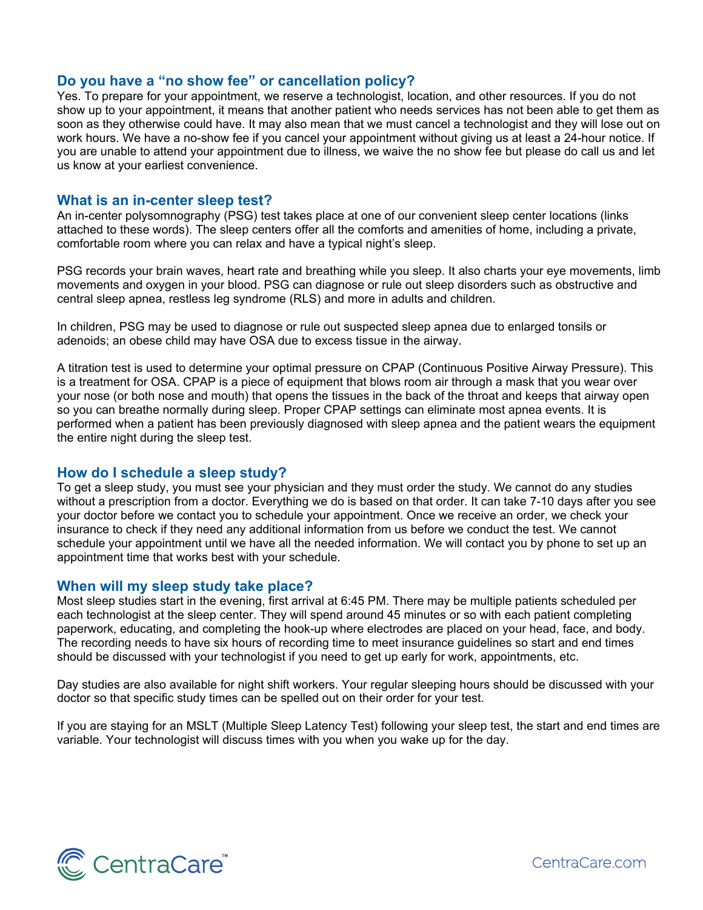## **Do you have a "no show fee" or cancellation policy?**

Yes. To prepare for your appointment, we reserve a technologist, location, and other resources. If you do not show up to your appointment, it means that another patient who needs services has not been able to get them as soon as they otherwise could have. It may also mean that we must cancel a technologist and they will lose out on work hours. We have a no-show fee if you cancel your appointment without giving us at least a 24-hour notice. If you are unable to attend your appointment due to illness, we waive the no show fee but please do call us and let us know at your earliest convenience.

#### **What is an in-center sleep test?**

An in-center polysomnography (PSG) test takes place at one of our convenient sleep center locations (links attached to these words). The sleep centers offer all the comforts and amenities of home, including a private, comfortable room where you can relax and have a typical night's sleep.

PSG records your brain waves, heart rate and breathing while you sleep. It also charts your eye movements, limb movements and oxygen in your blood. PSG can diagnose or rule out sleep disorders such as obstructive and central sleep apnea, restless leg syndrome (RLS) and more in adults and children.

In children, PSG may be used to diagnose or rule out suspected sleep apnea due to enlarged tonsils or adenoids; an obese child may have OSA due to excess tissue in the airway.

A titration test is used to determine your optimal pressure on CPAP (Continuous Positive Airway Pressure). This is a treatment for OSA. CPAP is a piece of equipment that blows room air through a mask that you wear over your nose (or both nose and mouth) that opens the tissues in the back of the throat and keeps that airway open so you can breathe normally during sleep. Proper CPAP settings can eliminate most apnea events. It is performed when a patient has been previously diagnosed with sleep apnea and the patient wears the equipment the entire night during the sleep test.

#### **How do I schedule a sleep study?**

To get a sleep study, you must see your physician and they must order the study. We cannot do any studies without a prescription from a doctor. Everything we do is based on that order. It can take 7-10 days after you see your doctor before we contact you to schedule your appointment. Once we receive an order, we check your insurance to check if they need any additional information from us before we conduct the test. We cannot schedule your appointment until we have all the needed information. We will contact you by phone to set up an appointment time that works best with your schedule.

#### **When will my sleep study take place?**

Most sleep studies start in the evening, first arrival at 6:45 PM. There may be multiple patients scheduled per each technologist at the sleep center. They will spend around 45 minutes or so with each patient completing paperwork, educating, and completing the hook-up where electrodes are placed on your head, face, and body. The recording needs to have six hours of recording time to meet insurance guidelines so start and end times should be discussed with your technologist if you need to get up early for work, appointments, etc.

Day studies are also available for night shift workers. Your regular sleeping hours should be discussed with your doctor so that specific study times can be spelled out on their order for your test.

If you are staying for an MSLT (Multiple Sleep Latency Test) following your sleep test, the start and end times are variable. Your technologist will discuss times with you when you wake up for the day.

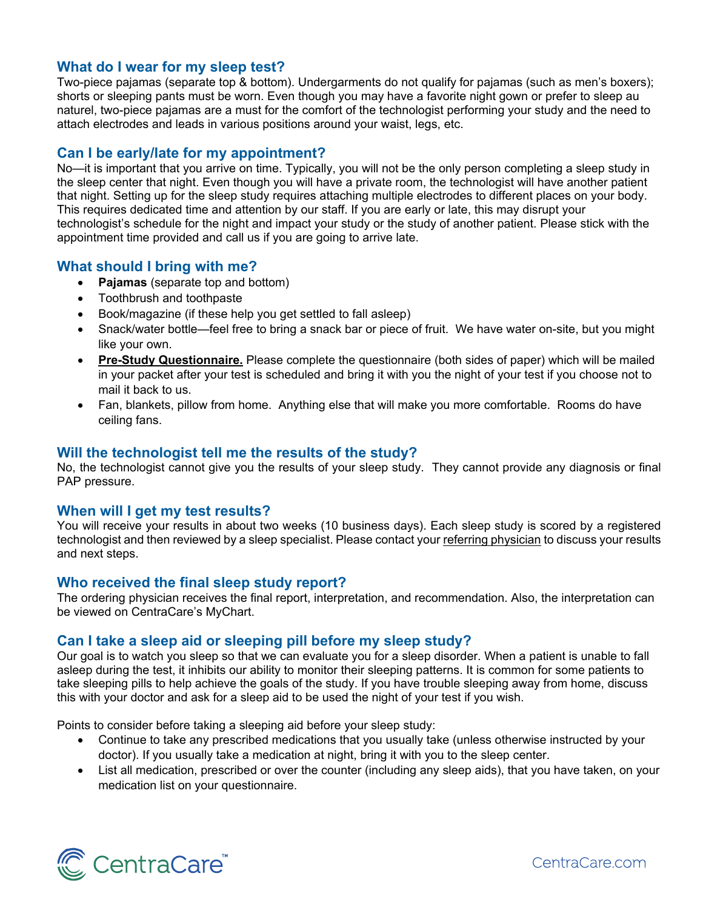## **What do I wear for my sleep test?**

Two-piece pajamas (separate top & bottom). Undergarments do not qualify for pajamas (such as men's boxers); shorts or sleeping pants must be worn. Even though you may have a favorite night gown or prefer to sleep au naturel, two-piece pajamas are a must for the comfort of the technologist performing your study and the need to attach electrodes and leads in various positions around your waist, legs, etc.

#### **Can I be early/late for my appointment?**

No—it is important that you arrive on time. Typically, you will not be the only person completing a sleep study in the sleep center that night. Even though you will have a private room, the technologist will have another patient that night. Setting up for the sleep study requires attaching multiple electrodes to different places on your body. This requires dedicated time and attention by our staff. If you are early or late, this may disrupt your technologist's schedule for the night and impact your study or the study of another patient. Please stick with the appointment time provided and call us if you are going to arrive late.

## **What should I bring with me?**

- **Pajamas** (separate top and bottom)
- Toothbrush and toothpaste
- Book/magazine (if these help you get settled to fall asleep)
- Snack/water bottle—feel free to bring a snack bar or piece of fruit. We have water on-site, but you might like your own.
- **Pre-Study Questionnaire.** Please complete the questionnaire (both sides of paper) which will be mailed in your packet after your test is scheduled and bring it with you the night of your test if you choose not to mail it back to us.
- Fan, blankets, pillow from home. Anything else that will make you more comfortable. Rooms do have ceiling fans.

## **Will the technologist tell me the results of the study?**

No, the technologist cannot give you the results of your sleep study. They cannot provide any diagnosis or final PAP pressure.

#### **When will I get my test results?**

You will receive your results in about two weeks (10 business days). Each sleep study is scored by a registered technologist and then reviewed by a sleep specialist. Please contact your referring physician to discuss your results and next steps.

## **Who received the final sleep study report?**

The ordering physician receives the final report, interpretation, and recommendation. Also, the interpretation can be viewed on CentraCare's MyChart.

#### **Can I take a sleep aid or sleeping pill before my sleep study?**

Our goal is to watch you sleep so that we can evaluate you for a sleep disorder. When a patient is unable to fall asleep during the test, it inhibits our ability to monitor their sleeping patterns. It is common for some patients to take sleeping pills to help achieve the goals of the study. If you have trouble sleeping away from home, discuss this with your doctor and ask for a sleep aid to be used the night of your test if you wish.

Points to consider before taking a sleeping aid before your sleep study:

- Continue to take any prescribed medications that you usually take (unless otherwise instructed by your doctor). If you usually take a medication at night, bring it with you to the sleep center.
- List all medication, prescribed or over the counter (including any sleep aids), that you have taken, on your medication list on your questionnaire.